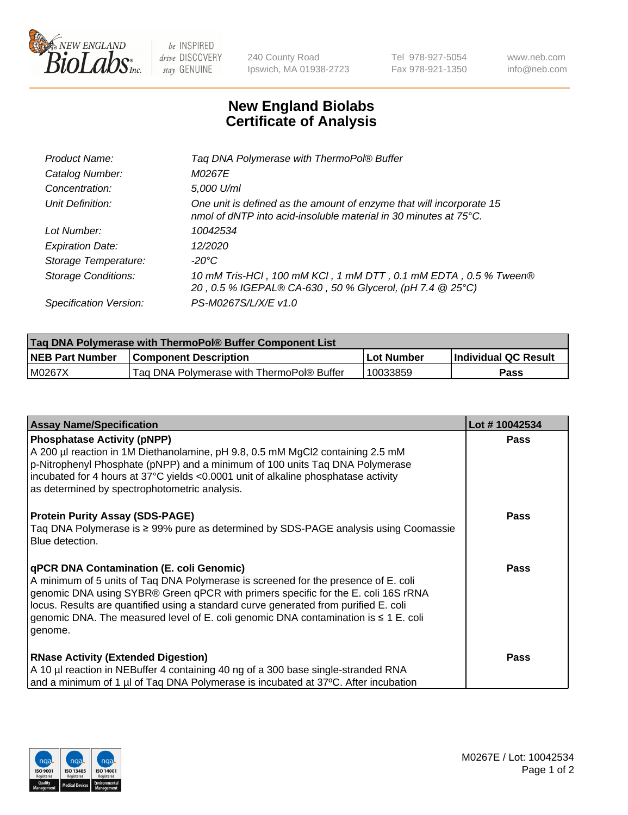

 $be$  INSPIRED drive DISCOVERY stay GENUINE

240 County Road Ipswich, MA 01938-2723 Tel 978-927-5054 Fax 978-921-1350 www.neb.com info@neb.com

## **New England Biolabs Certificate of Analysis**

| Tag DNA Polymerase with ThermoPol® Buffer                                                                                                |
|------------------------------------------------------------------------------------------------------------------------------------------|
| M0267E                                                                                                                                   |
| 5,000 U/ml                                                                                                                               |
| One unit is defined as the amount of enzyme that will incorporate 15<br>nmol of dNTP into acid-insoluble material in 30 minutes at 75°C. |
| 10042534                                                                                                                                 |
| 12/2020                                                                                                                                  |
| $-20^{\circ}$ C                                                                                                                          |
| 10 mM Tris-HCl, 100 mM KCl, 1 mM DTT, 0.1 mM EDTA, 0.5 % Tween®<br>20, 0.5 % IGEPAL® CA-630, 50 % Glycerol, (pH 7.4 @ 25°C)              |
| PS-M0267S/L/X/E v1.0                                                                                                                     |
|                                                                                                                                          |

| Taq DNA Polymerase with ThermoPol® Buffer Component List |                                           |              |                      |  |  |
|----------------------------------------------------------|-------------------------------------------|--------------|----------------------|--|--|
| <b>NEB Part Number</b>                                   | <b>Component Description</b>              | l Lot Number | Individual QC Result |  |  |
| M0267X                                                   | Tag DNA Polymerase with ThermoPol® Buffer | 10033859     | Pass                 |  |  |

| <b>Assay Name/Specification</b>                                                                                                                                                                                                                                                                                                                                                                                    | Lot #10042534 |
|--------------------------------------------------------------------------------------------------------------------------------------------------------------------------------------------------------------------------------------------------------------------------------------------------------------------------------------------------------------------------------------------------------------------|---------------|
| <b>Phosphatase Activity (pNPP)</b><br>A 200 µl reaction in 1M Diethanolamine, pH 9.8, 0.5 mM MgCl2 containing 2.5 mM<br>p-Nitrophenyl Phosphate (pNPP) and a minimum of 100 units Taq DNA Polymerase<br>incubated for 4 hours at 37°C yields <0.0001 unit of alkaline phosphatase activity<br>as determined by spectrophotometric analysis.                                                                        | <b>Pass</b>   |
| <b>Protein Purity Assay (SDS-PAGE)</b><br>Taq DNA Polymerase is ≥ 99% pure as determined by SDS-PAGE analysis using Coomassie<br>Blue detection.                                                                                                                                                                                                                                                                   | <b>Pass</b>   |
| qPCR DNA Contamination (E. coli Genomic)<br>A minimum of 5 units of Tag DNA Polymerase is screened for the presence of E. coli<br>genomic DNA using SYBR® Green qPCR with primers specific for the E. coli 16S rRNA<br>locus. Results are quantified using a standard curve generated from purified E. coli<br>genomic DNA. The measured level of E. coli genomic DNA contamination is $\leq 1$ E. coli<br>genome. | <b>Pass</b>   |
| <b>RNase Activity (Extended Digestion)</b><br>A 10 µl reaction in NEBuffer 4 containing 40 ng of a 300 base single-stranded RNA<br>and a minimum of 1 µl of Taq DNA Polymerase is incubated at 37°C. After incubation                                                                                                                                                                                              | Pass          |